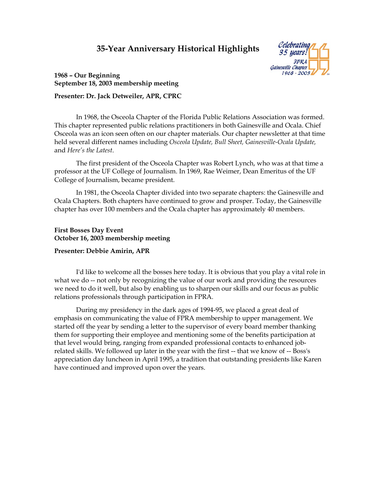# **35-Year Anniversary Historical Highlights**



# **1968 – Our Beginning September 18, 2003 membership meeting**

# **Presenter: Dr. Jack Detweiler, APR, CPRC**

In 1968, the Osceola Chapter of the Florida Public Relations Association was formed. This chapter represented public relations practitioners in both Gainesville and Ocala. Chief Osceola was an icon seen often on our chapter materials. Our chapter newsletter at that time held several different names including *Osceola Update, Bull Sheet, Gainesville-Ocala Update,*  and *Here's the Latest*.

The first president of the Osceola Chapter was Robert Lynch, who was at that time a professor at the UF College of Journalism. In 1969, Rae Weimer, Dean Emeritus of the UF College of Journalism, became president.

In 1981, the Osceola Chapter divided into two separate chapters: the Gainesville and Ocala Chapters. Both chapters have continued to grow and prosper. Today, the Gainesville chapter has over 100 members and the Ocala chapter has approximately 40 members.

## **First Bosses Day Event October 16, 2003 membership meeting**

# **Presenter: Debbie Amirin, APR**

I'd like to welcome all the bosses here today. It is obvious that you play a vital role in what we do -- not only by recognizing the value of our work and providing the resources we need to do it well, but also by enabling us to sharpen our skills and our focus as public relations professionals through participation in FPRA.

During my presidency in the dark ages of 1994-95, we placed a great deal of emphasis on communicating the value of FPRA membership to upper management. We started off the year by sending a letter to the supervisor of every board member thanking them for supporting their employee and mentioning some of the benefits participation at that level would bring, ranging from expanded professional contacts to enhanced jobrelated skills. We followed up later in the year with the first -- that we know of -- Boss's appreciation day luncheon in April 1995, a tradition that outstanding presidents like Karen have continued and improved upon over the years.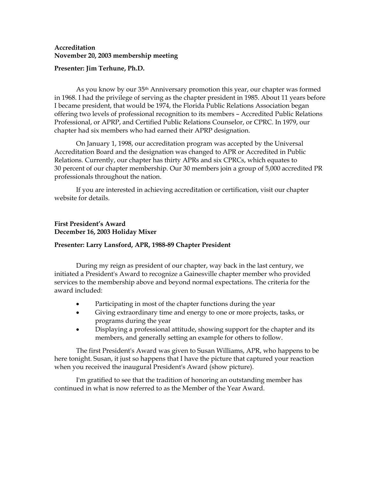## **Accreditation November 20, 2003 membership meeting**

## **Presenter: Jim Terhune, Ph.D.**

As you know by our 35th Anniversary promotion this year, our chapter was formed in 1968. I had the privilege of serving as the chapter president in 1985. About 11 years before I became president, that would be 1974, the Florida Public Relations Association began offering two levels of professional recognition to its members – Accredited Public Relations Professional, or APRP, and Certified Public Relations Counselor, or CPRC. In 1979, our chapter had six members who had earned their APRP designation.

On January 1, 1998, our accreditation program was accepted by the Universal Accreditation Board and the designation was changed to APR or Accredited in Public Relations. Currently, our chapter has thirty APRs and six CPRCs, which equates to 30 percent of our chapter membership. Our 30 members join a group of 5,000 accredited PR professionals throughout the nation.

If you are interested in achieving accreditation or certification, visit our chapter website for details.

## **First President's Award December 16, 2003 Holiday Mixer**

### **Presenter: Larry Lansford, APR, 1988-89 Chapter President**

During my reign as president of our chapter, way back in the last century, we initiated a President's Award to recognize a Gainesville chapter member who provided services to the membership above and beyond normal expectations. The criteria for the award included:

- Participating in most of the chapter functions during the year
- Giving extraordinary time and energy to one or more projects, tasks, or programs during the year
- Displaying a professional attitude, showing support for the chapter and its members, and generally setting an example for others to follow.

The first President's Award was given to Susan Williams, APR, who happens to be here tonight. Susan, it just so happens that I have the picture that captured your reaction when you received the inaugural President's Award (show picture).

I'm gratified to see that the tradition of honoring an outstanding member has continued in what is now referred to as the Member of the Year Award.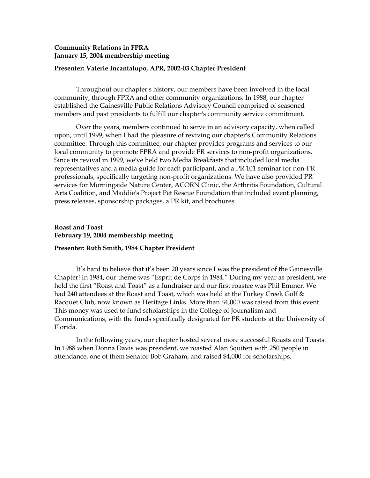## **Community Relations in FPRA January 15, 2004 membership meeting**

#### **Presenter: Valerie Incantalupo, APR, 2002-03 Chapter President**

Throughout our chapter's history, our members have been involved in the local community, through FPRA and other community organizations. In 1988, our chapter established the Gainesville Public Relations Advisory Council comprised of seasoned members and past presidents to fulfill our chapter's community service commitment.

Over the years, members continued to serve in an advisory capacity, when called upon, until 1999, when I had the pleasure of reviving our chapter's Community Relations committee. Through this committee, our chapter provides programs and services to our local community to promote FPRA and provide PR services to non-profit organizations. Since its revival in 1999, we've held two Media Breakfasts that included local media representatives and a media guide for each participant, and a PR 101 seminar for non-PR professionals, specifically targeting non-profit organizations. We have also provided PR services for Morningside Nature Center, ACORN Clinic, the Arthritis Foundation, Cultural Arts Coalition, and Maddie's Project Pet Rescue Foundation that included event planning, press releases, sponsorship packages, a PR kit, and brochures.

## **Roast and Toast February 19, 2004 membership meeting**

#### **Presenter: Ruth Smith, 1984 Chapter President**

It's hard to believe that it's been 20 years since I was the president of the Gainesville Chapter! In 1984, our theme was "Esprit de Corps in 1984." During my year as president, we held the first "Roast and Toast" as a fundraiser and our first roastee was Phil Emmer. We had 240 attendees at the Roast and Toast, which was held at the Turkey Creek Golf  $\&$ Racquet Club, now known as Heritage Links. More than \$4,000 was raised from this event. This money was used to fund scholarships in the College of Journalism and Communications, with the funds specifically designated for PR students at the University of Florida.

In the following years, our chapter hosted several more successful Roasts and Toasts. In 1988 when Donna Davis was president, we roasted Alan Squiteri with 250 people in attendance, one of them Senator Bob Graham, and raised \$4,000 for scholarships.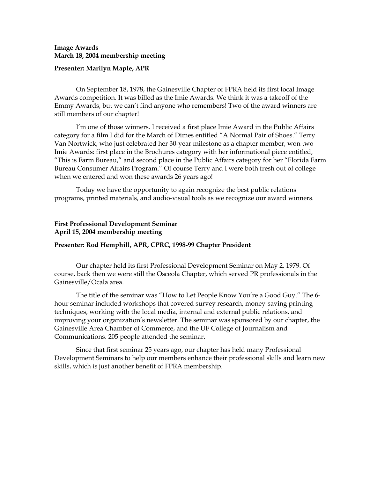### **Image Awards March 18, 2004 membership meeting**

#### **Presenter: Marilyn Maple, APR**

On September 18, 1978, the Gainesville Chapter of FPRA held its first local Image Awards competition. It was billed as the Imie Awards. We think it was a takeoff of the Emmy Awards, but we can't find anyone who remembers! Two of the award winners are still members of our chapter!

I'm one of those winners. I received a first place Imie Award in the Public Affairs category for a film I did for the March of Dimes entitled "A Normal Pair of Shoes." Terry Van Nortwick, who just celebrated her 30-year milestone as a chapter member, won two Imie Awards: first place in the Brochures category with her informational piece entitled, "This is Farm Bureau," and second place in the Public Affairs category for her "Florida Farm Bureau Consumer Affairs Program." Of course Terry and I were both fresh out of college when we entered and won these awards 26 years ago!

Today we have the opportunity to again recognize the best public relations programs, printed materials, and audio-visual tools as we recognize our award winners.

## **First Professional Development Seminar April 15, 2004 membership meeting**

#### **Presenter: Rod Hemphill, APR, CPRC, 1998-99 Chapter President**

Our chapter held its first Professional Development Seminar on May 2, 1979. Of course, back then we were still the Osceola Chapter, which served PR professionals in the Gainesville/Ocala area.

The title of the seminar was "How to Let People Know You're a Good Guy." The 6 hour seminar included workshops that covered survey research, money-saving printing techniques, working with the local media, internal and external public relations, and improving your organization's newsletter. The seminar was sponsored by our chapter, the Gainesville Area Chamber of Commerce, and the UF College of Journalism and Communications. 205 people attended the seminar.

Since that first seminar 25 years ago, our chapter has held many Professional Development Seminars to help our members enhance their professional skills and learn new skills, which is just another benefit of FPRA membership.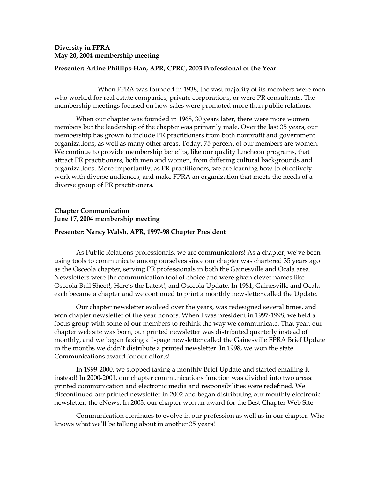# **Diversity in FPRA May 20, 2004 membership meeting**

## **Presenter: Arline Phillips-Han, APR, CPRC, 2003 Professional of the Year**

 When FPRA was founded in 1938, the vast majority of its members were men who worked for real estate companies, private corporations, or were PR consultants. The membership meetings focused on how sales were promoted more than public relations.

When our chapter was founded in 1968, 30 years later, there were more women members but the leadership of the chapter was primarily male. Over the last 35 years, our membership has grown to include PR practitioners from both nonprofit and government organizations, as well as many other areas. Today, 75 percent of our members are women. We continue to provide membership benefits, like our quality luncheon programs, that attract PR practitioners, both men and women, from differing cultural backgrounds and organizations. More importantly, as PR practitioners, we are learning how to effectively work with diverse audiences, and make FPRA an organization that meets the needs of a diverse group of PR practitioners.

# **Chapter Communication June 17, 2004 membership meeting**

### **Presenter: Nancy Walsh, APR, 1997-98 Chapter President**

As Public Relations professionals, we are communicators! As a chapter, we've been using tools to communicate among ourselves since our chapter was chartered 35 years ago as the Osceola chapter, serving PR professionals in both the Gainesville and Ocala area. Newsletters were the communication tool of choice and were given clever names like Osceola Bull Sheet!, Here's the Latest!, and Osceola Update. In 1981, Gainesville and Ocala each became a chapter and we continued to print a monthly newsletter called the Update.

Our chapter newsletter evolved over the years, was redesigned several times, and won chapter newsletter of the year honors. When I was president in 1997-1998, we held a focus group with some of our members to rethink the way we communicate. That year, our chapter web site was born, our printed newsletter was distributed quarterly instead of monthly, and we began faxing a 1-page newsletter called the Gainesville FPRA Brief Update in the months we didn't distribute a printed newsletter. In 1998, we won the state Communications award for our efforts!

In 1999-2000, we stopped faxing a monthly Brief Update and started emailing it instead! In 2000-2001, our chapter communications function was divided into two areas: printed communication and electronic media and responsibilities were redefined. We discontinued our printed newsletter in 2002 and began distributing our monthly electronic newsletter, the eNews. In 2003, our chapter won an award for the Best Chapter Web Site.

Communication continues to evolve in our profession as well as in our chapter. Who knows what we'll be talking about in another 35 years!